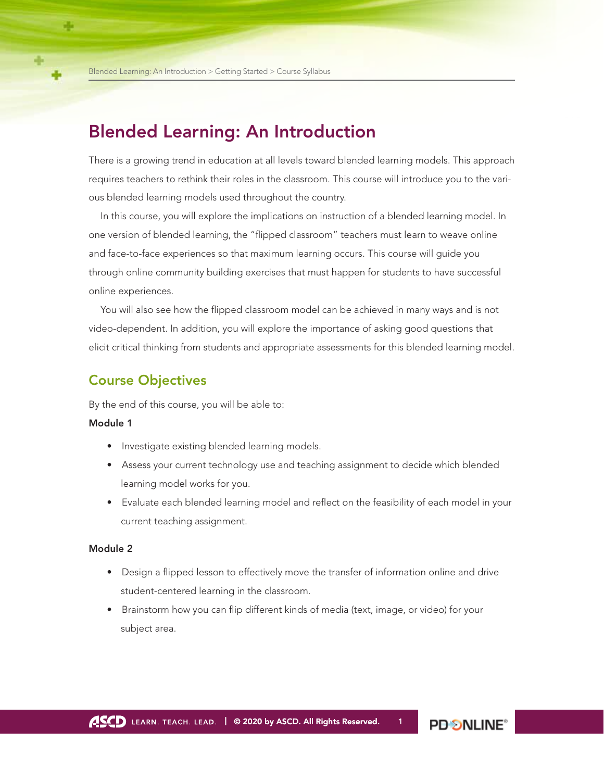# Blended Learning: An Introduction

There is a growing trend in education at all levels toward blended learning models. This approach requires teachers to rethink their roles in the classroom. This course will introduce you to the various blended learning models used throughout the country.

In this course, you will explore the implications on instruction of a blended learning model. In one version of blended learning, the "flipped classroom" teachers must learn to weave online and face-to-face experiences so that maximum learning occurs. This course will guide you through online community building exercises that must happen for students to have successful online experiences.

You will also see how the flipped classroom model can be achieved in many ways and is not video-dependent. In addition, you will explore the importance of asking good questions that elicit critical thinking from students and appropriate assessments for this blended learning model.

## Course Objectives

By the end of this course, you will be able to:

### Module 1

- Investigate existing blended learning models.
- Assess your current technology use and teaching assignment to decide which blended learning model works for you.
- Evaluate each blended learning model and reflect on the feasibility of each model in your current teaching assignment.

### Module 2

- Design a flipped lesson to effectively move the transfer of information online and drive student-centered learning in the classroom.
- Brainstorm how you can flip different kinds of media (text, image, or video) for your subject area.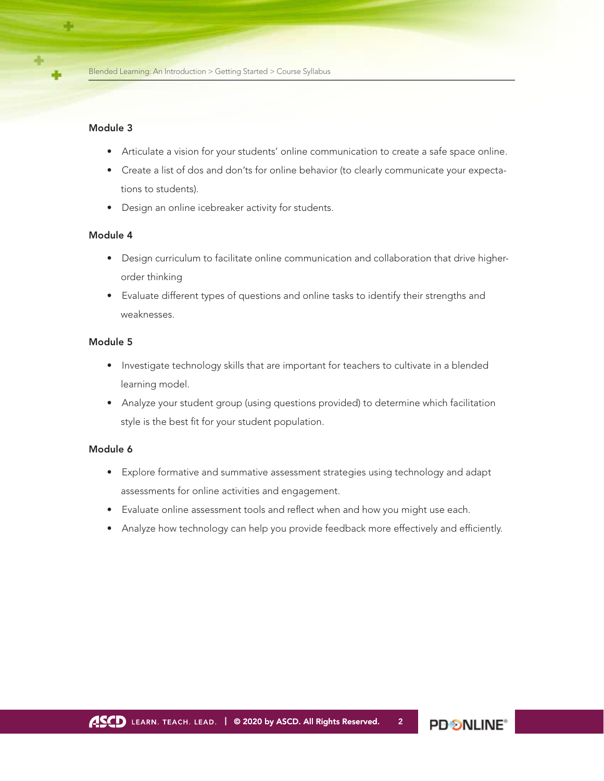#### Module 3

- Articulate a vision for your students' online communication to create a safe space online.
- Create a list of dos and don'ts for online behavior (to clearly communicate your expectations to students).
- Design an online icebreaker activity for students.

### Module 4

- Design curriculum to facilitate online communication and collaboration that drive higherorder thinking
- Evaluate different types of questions and online tasks to identify their strengths and weaknesses.

### Module 5

- Investigate technology skills that are important for teachers to cultivate in a blended learning model.
- Analyze your student group (using questions provided) to determine which facilitation style is the best fit for your student population.

#### Module 6

- Explore formative and summative assessment strategies using technology and adapt assessments for online activities and engagement.
- Evaluate online assessment tools and reflect when and how you might use each.
- Analyze how technology can help you provide feedback more effectively and efficiently.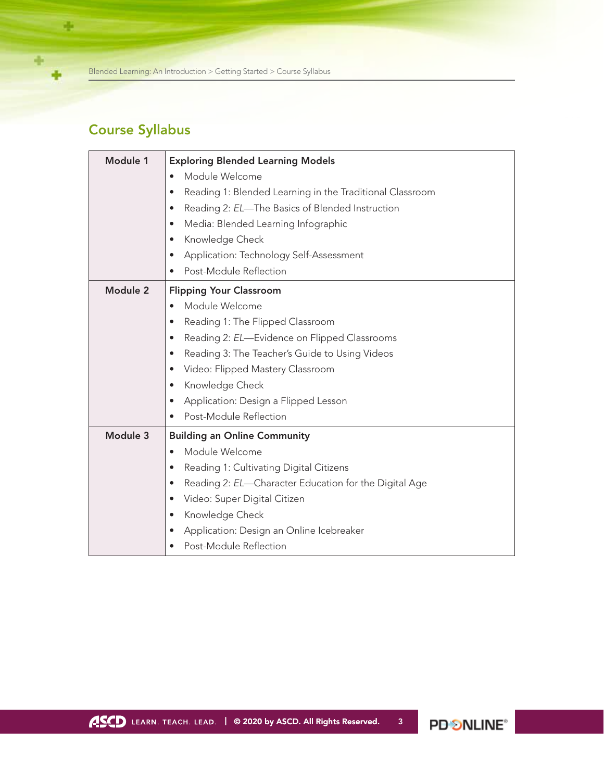Blended Learning: An Introduction > Getting Started > Course Syllabus

# Course Syllabus

÷

÷

÷

| Module 1 | <b>Exploring Blended Learning Models</b>                              |
|----------|-----------------------------------------------------------------------|
|          | Module Welcome                                                        |
|          | Reading 1: Blended Learning in the Traditional Classroom<br>$\bullet$ |
|          | Reading 2: EL-The Basics of Blended Instruction<br>$\bullet$          |
|          | Media: Blended Learning Infographic<br>$\bullet$                      |
|          | Knowledge Check<br>$\bullet$                                          |
|          | Application: Technology Self-Assessment<br>$\bullet$                  |
|          | Post-Module Reflection<br>$\bullet$                                   |
| Module 2 | <b>Flipping Your Classroom</b>                                        |
|          | Module Welcome<br>$\bullet$                                           |
|          | Reading 1: The Flipped Classroom<br>$\bullet$                         |
|          | Reading 2: EL-Evidence on Flipped Classrooms<br>$\bullet$             |
|          | Reading 3: The Teacher's Guide to Using Videos<br>$\bullet$           |
|          | Video: Flipped Mastery Classroom<br>$\bullet$                         |
|          | Knowledge Check<br>$\bullet$                                          |
|          | Application: Design a Flipped Lesson<br>$\bullet$                     |
|          | Post-Module Reflection                                                |
| Module 3 | <b>Building an Online Community</b>                                   |
|          | Module Welcome<br>$\bullet$                                           |
|          | Reading 1: Cultivating Digital Citizens<br>$\bullet$                  |
|          | Reading 2: EL-Character Education for the Digital Age<br>$\bullet$    |
|          | Video: Super Digital Citizen<br>$\bullet$                             |
|          | Knowledge Check<br>$\bullet$                                          |
|          | Application: Design an Online Icebreaker                              |
|          | Post-Module Reflection                                                |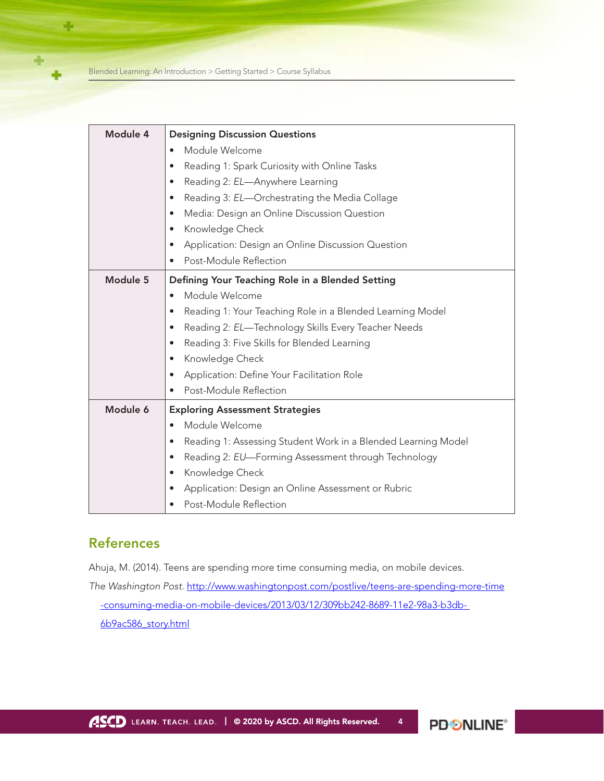Blended Learning: An Introduction > Getting Started > Course Syllabus

÷

| Module 4 | <b>Designing Discussion Questions</b>                                      |
|----------|----------------------------------------------------------------------------|
|          | Module Welcome<br>$\bullet$                                                |
|          | Reading 1: Spark Curiosity with Online Tasks<br>$\bullet$                  |
|          | Reading 2: EL-Anywhere Learning<br>$\bullet$                               |
|          | Reading 3: EL-Orchestrating the Media Collage<br>$\bullet$                 |
|          | Media: Design an Online Discussion Question<br>$\bullet$                   |
|          | Knowledge Check<br>$\bullet$                                               |
|          | Application: Design an Online Discussion Question<br>$\bullet$             |
|          | Post-Module Reflection<br>$\bullet$                                        |
| Module 5 | Defining Your Teaching Role in a Blended Setting                           |
|          | Module Welcome<br>$\bullet$                                                |
|          | Reading 1: Your Teaching Role in a Blended Learning Model<br>$\bullet$     |
|          | Reading 2: EL-Technology Skills Every Teacher Needs<br>$\bullet$           |
|          | Reading 3: Five Skills for Blended Learning<br>$\bullet$                   |
|          | Knowledge Check<br>$\bullet$                                               |
|          | Application: Define Your Facilitation Role<br>$\bullet$                    |
|          | Post-Module Reflection                                                     |
| Module 6 | <b>Exploring Assessment Strategies</b>                                     |
|          | Module Welcome<br>$\bullet$                                                |
|          | Reading 1: Assessing Student Work in a Blended Learning Model<br>$\bullet$ |
|          | Reading 2: EU-Forming Assessment through Technology<br>$\bullet$           |
|          | Knowledge Check<br>$\bullet$                                               |
|          | Application: Design an Online Assessment or Rubric<br>$\bullet$            |
|          | Post-Module Reflection                                                     |

## References

Ahuja, M. (2014). Teens are spending more time consuming media, on mobile devices. *The Washington Post.* [http://www.washingtonpost.com/postlive/teens-are-spending-more-time](http://www.washingtonpost.com/postlive/teens-are-spending-more-time-consuming-media-on-mobile-devices/2013/03/12/309bb242-8689-11e2-98a3-b3db6b9ac586_story.html) [-consuming-media-on-mobile-devices/2013/03/12/309bb242-8689-11e2-98a3-b3db-](http://www.washingtonpost.com/postlive/teens-are-spending-more-time-consuming-media-on-mobile-devices/2013/03/12/309bb242-8689-11e2-98a3-b3db6b9ac586_story.html)[6b9ac586\\_story.html](http://www.washingtonpost.com/postlive/teens-are-spending-more-time-consuming-media-on-mobile-devices/2013/03/12/309bb242-8689-11e2-98a3-b3db6b9ac586_story.html)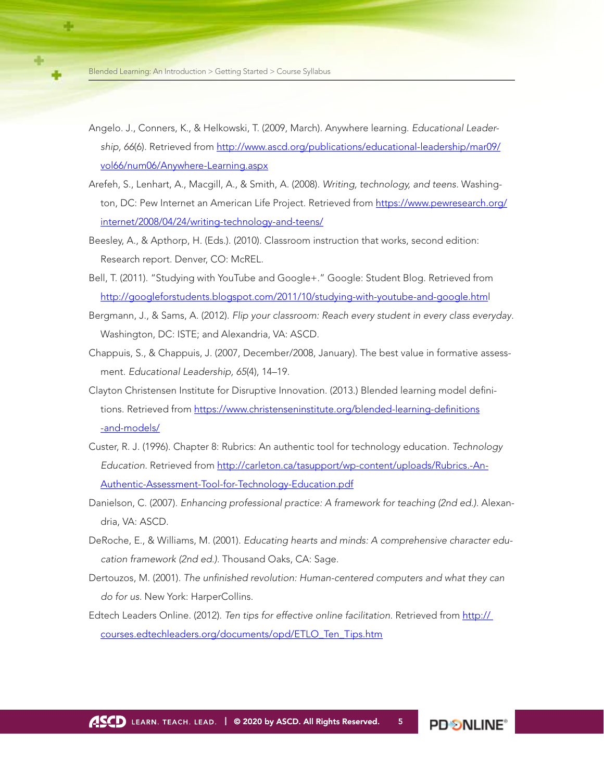- Angelo. J., Conners, K., & Helkowski, T. (2009, March). Anywhere learning. *Educational Leadership, 66*(6). Retrieved from [http://www.ascd.org/publications/educational-leadership/mar09/](http://www.ascd.org/publications/educational-leadership/mar09/vol66/num06/Anywhere-Learning.aspx) [vol66/num06/Anywhere-Learning.aspx](http://www.ascd.org/publications/educational-leadership/mar09/vol66/num06/Anywhere-Learning.aspx)
- Arefeh, S., Lenhart, A., Macgill, A., & Smith, A. (2008). *Writing, technology, and teens.* Washington, DC: Pew Internet an American Life Project. Retrieved from [https://www.pewresearch.org/](https://www.pewresearch.org/internet/2008/04/24/writing-technology-and-teens/) [internet/2008/04/24/writing-technology-and-teens/](https://www.pewresearch.org/internet/2008/04/24/writing-technology-and-teens/)
- Beesley, A., & Apthorp, H. (Eds.). (2010). Classroom instruction that works, second edition: Research report. Denver, CO: McREL.
- Bell, T. (2011). "Studying with YouTube and Google+." Google: Student Blog. Retrieved from <http://googleforstudents.blogspot.com/2011/10/studying-with-youtube-and-google.html>
- Bergmann, J., & Sams, A. (2012). *Flip your classroom: Reach every student in every class everyday*. Washington, DC: ISTE; and Alexandria, VA: ASCD.
- Chappuis, S., & Chappuis, J. (2007, December/2008, January). The best value in formative assessment. *Educational Leadership, 65*(4), 14–19.
- Clayton Christensen Institute for Disruptive Innovation. (2013.) Blended learning model definitions. Retrieved from [https://www.christenseninstitute.org/blended-learning-definitions](https://www.christenseninstitute.org/blended-learning-definitions-and-models/) [-and-models/](https://www.christenseninstitute.org/blended-learning-definitions-and-models/)
- Custer, R. J. (1996). Chapter 8: Rubrics: An authentic tool for technology education. *Technology Education.* Retrieved from [http://carleton.ca/tasupport/wp-content/uploads/Rubrics.-An-](http://carleton.ca/tasupport/wp-content/uploads/Rubrics.-An-Authentic-Assessment-Tool-for-Technology-Education.pdf)[Authentic-Assessment-Tool-for-Technology-Education.pdf](http://carleton.ca/tasupport/wp-content/uploads/Rubrics.-An-Authentic-Assessment-Tool-for-Technology-Education.pdf)
- Danielson, C. (2007). *Enhancing professional practice: A framework for teaching (2nd ed.).* Alexandria, VA: ASCD.
- DeRoche, E., & Williams, M. (2001). *Educating hearts and minds: A comprehensive character education framework (2nd ed.).* Thousand Oaks, CA: Sage.
- Dertouzos, M. (2001). *The unfinished revolution: Human-centered computers and what they can do for us.* New York: HarperCollins.
- Edtech Leaders Online. (2012). *Ten tips for effective online facilitation.* Retrieved from [http://](http://courses.edtechleaders.org/documents/opd/ETLO_Ten_Tips.htm) [courses.edtechleaders.org/documents/opd/ETLO\\_Ten\\_Tips.htm](http://courses.edtechleaders.org/documents/opd/ETLO_Ten_Tips.htm)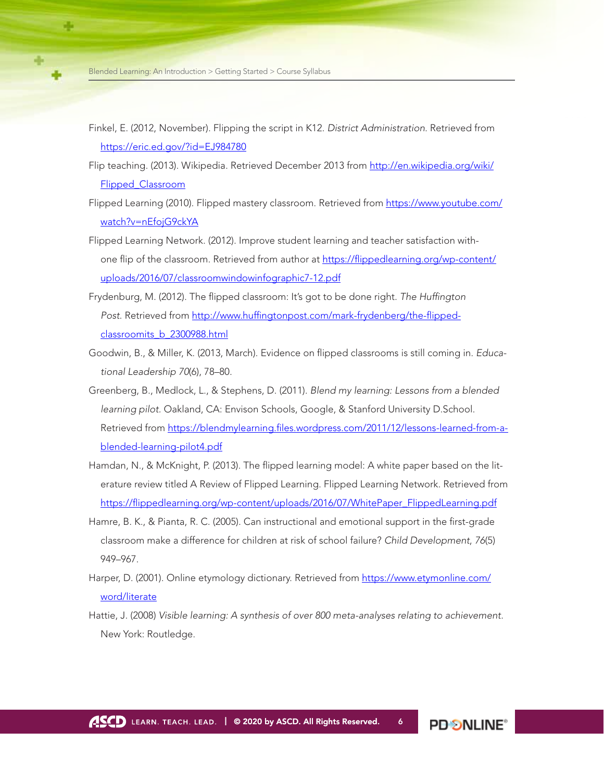- Finkel, E. (2012, November). Flipping the script in K12. *District Administration*. Retrieved from <https://eric.ed.gov/?id=EJ984780>
- Flip teaching. (2013). Wikipedia. Retrieved December 2013 from [http://en.wikipedia.org/wiki/](http://en.wikipedia.org/wiki/Flipped_Classroom) [Flipped\\_Classroom](http://en.wikipedia.org/wiki/Flipped_Classroom)
- Flipped Learning (2010). Flipped mastery classroom. Retrieved from [https://www.youtube.com/](https://www.youtube.com/watch?v=nEfojG9ckYA) [watch?v=nEfojG9ckYA](https://www.youtube.com/watch?v=nEfojG9ckYA)
- Flipped Learning Network. (2012). Improve student learning and teacher satisfaction withone flip of the classroom. Retrieved from author at [https://flippedlearning.org/wp-content/](https://flippedlearning.org/wp-content/uploads/2016/07/classroomwindowinfographic7-12.pdf) [uploads/2016/07/classroomwindowinfographic7-12.pdf](https://flippedlearning.org/wp-content/uploads/2016/07/classroomwindowinfographic7-12.pdf)
- Frydenburg, M. (2012). The flipped classroom: It's got to be done right. *The Huffington Post*. Retrieved from [http://www.huffingtonpost.com/mark-frydenberg/the-flipped](https://www.huffpost.com/entry/the-flipped-classroom-its_b_2300988)[classroomits\\_b\\_2300988.html](https://www.huffpost.com/entry/the-flipped-classroom-its_b_2300988)
- Goodwin, B., & Miller, K. (2013, March). Evidence on flipped classrooms is still coming in. *Educational Leadership 70*(6), 78–80.
- Greenberg, B., Medlock, L., & Stephens, D. (2011). *Blend my learning: Lessons from a blended learning pilot.* Oakland, CA: Envison Schools, Google, & Stanford University D.School. Retrieved from [https://blendmylearning.files.wordpress.com/2011/12/lessons-learned-from-a](https://blendmylearning.files.wordpress.com/2011/12/lessons-learned-from-a-blended-learning-pilot4.pdf)[blended-learning-pilot4.pdf](https://blendmylearning.files.wordpress.com/2011/12/lessons-learned-from-a-blended-learning-pilot4.pdf)
- Hamdan, N., & McKnight, P. (2013). The flipped learning model: A white paper based on the literature review titled A Review of Flipped Learning. Flipped Learning Network. Retrieved from [https://flippedlearning.org/wp-content/uploads/2016/07/WhitePaper\\_FlippedLearning.pdf](https://flippedlearning.org/wp-content/uploads/2016/07/WhitePaper_FlippedLearning.pdf)
- Hamre, B. K., & Pianta, R. C. (2005). Can instructional and emotional support in the first-grade classroom make a difference for children at risk of school failure? *Child Development*, *76*(5) 949–967.
- Harper, D. (2001). Online etymology dictionary. Retrieved from [https://www.etymonline.com/](https://www.etymonline.com/word/literate) [word/literate](https://www.etymonline.com/word/literate)
- Hattie, J. (2008) *Visible learning: A synthesis of over 800 meta-analyses relating to achievement.*  New York: Routledge.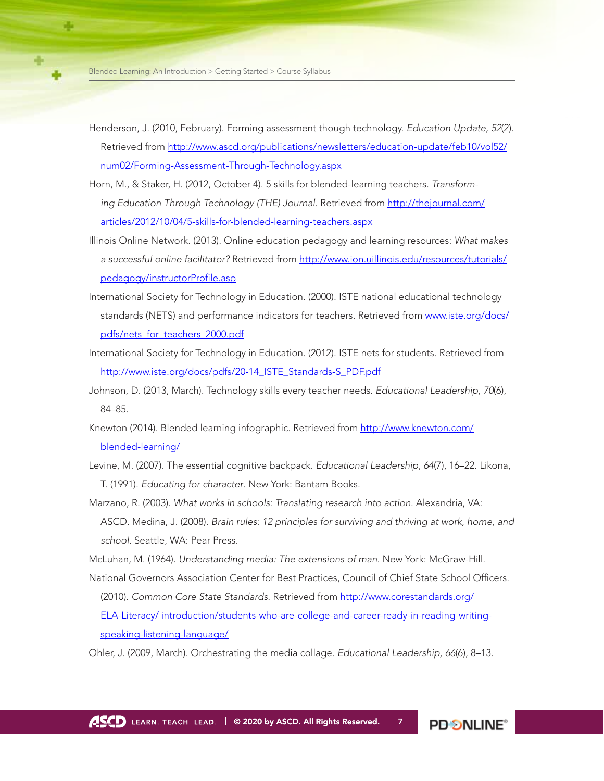- Henderson, J. (2010, February). Forming assessment though technology. *Education Update, 52*(2). Retrieved from [http://www.ascd.org/publications/newsletters/education-update/feb10/vol52/](http://www.ascd.org/publications/newsletters/education-update/feb10/vol52/num02/Forming-Assessment-Through-Technology.aspx) [num02/Forming-Assessment-Through-Technology.aspx](http://www.ascd.org/publications/newsletters/education-update/feb10/vol52/num02/Forming-Assessment-Through-Technology.aspx)
- Horn, M., & Staker, H. (2012, October 4). 5 skills for blended-learning teachers. *Transforming Education Through Technology (THE) Journal.* Retrieved from [http://thejournal.com/](http://thejournal.com/articles/2012/10/04/5-skills-for-blended-learning-teachers.aspx) [articles/2012/10/04/5-skills-for-blended-learning-teachers.aspx](http://thejournal.com/articles/2012/10/04/5-skills-for-blended-learning-teachers.aspx)
- Illinois Online Network. (2013). Online education pedagogy and learning resources: *What makes a successful online facilitator?* Retrieved from [http://www.ion.uillinois.edu/resources/tutorials/](http://www.ion.uillinois.edu/resources/tutorials/pedagogy/instructorProfile.asp) [pedagogy/instructorProfile.asp](http://www.ion.uillinois.edu/resources/tutorials/pedagogy/instructorProfile.asp)
- International Society for Technology in Education. (2000). ISTE national educational technology standards (NETS) and performance indicators for teachers. Retrieved from [www.iste.org/docs/](http://www.iste.org/docs/pdfs/nets_for_teachers_2000.pdf) [pdfs/nets\\_for\\_teachers\\_2000.pdf](http://www.iste.org/docs/pdfs/nets_for_teachers_2000.pdf)
- International Society for Technology in Education. (2012). ISTE nets for students. Retrieved from http://www.iste.org/docs/pdfs/20-14 ISTE\_Standards-S\_PDF.pdf
- Johnson, D. (2013, March). Technology skills every teacher needs. *Educational Leadership, 70*(6), 84–85.
- Knewton (2014). Blended learning infographic. Retrieved from [http://www.knewton.com/](https://www.knewton.com/) [blended-learning/](https://www.knewton.com/)
- Levine, M. (2007). The essential cognitive backpack. *Educational Leadership, 64*(7), 16–22. Likona, T. (1991). *Educating for character*. New York: Bantam Books.
- Marzano, R. (2003). What works in schools: Translating research into action. Alexandria, VA: ASCD. Medina, J. (2008). *Brain rules: 12 principles for surviving and thriving at work, home, and school.* Seattle, WA: Pear Press.
- McLuhan, M. (1964). *Understanding media: The extensions of man*. New York: McGraw-Hill.
- National Governors Association Center for Best Practices, Council of Chief State School Officers. (2010). *Common Core State Standards*. Retrieved from [http://www.corestandards.org/](http://www.corestandards.org/ELA-Literacy/introduction/students-who-are-college-and-career-ready-in-reading-writing-speaking-listening-language/)

[ELA-Literacy/](http://www.corestandards.org/ELA-Literacy/introduction/students-who-are-college-and-career-ready-in-reading-writing-speaking-listening-language/) [introduction/students-who-are-college-and-career-ready-in-reading-writing](http://www.corestandards.org/ELA-Literacy/introduction/students-who-are-college-and-career-ready-in-reading-writing-speaking-listening-language/)[speaking-listening-language/](http://www.corestandards.org/ELA-Literacy/introduction/students-who-are-college-and-career-ready-in-reading-writing-speaking-listening-language/)

Ohler, J. (2009, March). Orchestrating the media collage. *Educational Leadership, 66*(6), 8–13.